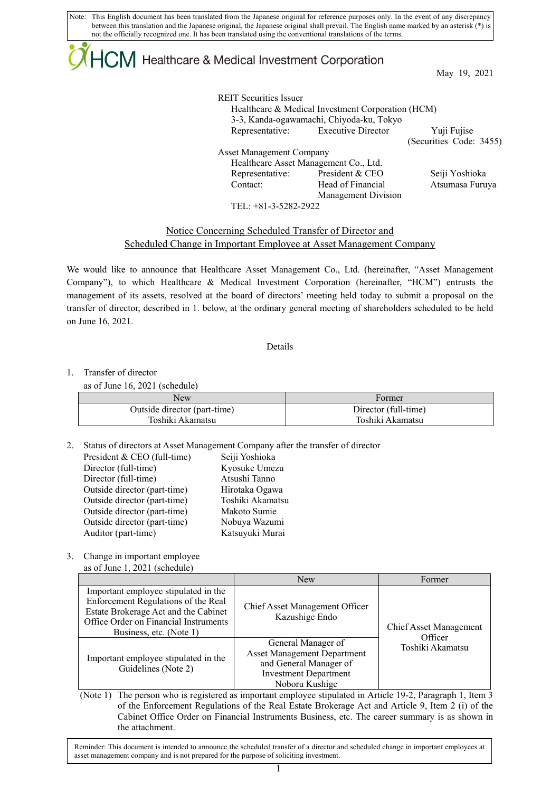Note: This English document has been translated from the Japanese original for reference purposes only. In the event of any discrepancy between this translation and the Japanese original, the Japanese original shall prevail. The English name marked by an asterisk (\*) is not the officially recognized one. It has been translated using the conventional translations of the terms.

# $+C\mathsf{M}$  Healthcare & Medical Investment Corporation

May 19, 2021

REIT Securities Issuer Healthcare & Medical Investment Corporation (HCM) 3-3, Kanda-ogawamachi, Chiyoda-ku, Tokyo Representative: Executive Director Yuji Fujise (Securities Code: 3455) Asset Management Company Healthcare Asset Management Co., Ltd. Representative: President & CEO Seiji Yoshioka Contact: Head of Financial Management Division Atsumasa Furuya TEL: +81-3-5282-2922

### Notice Concerning Scheduled Transfer of Director and Scheduled Change in Important Employee at Asset Management Company

We would like to announce that Healthcare Asset Management Co., Ltd. (hereinafter, "Asset Management Company"), to which Healthcare & Medical Investment Corporation (hereinafter, "HCM") entrusts the management of its assets, resolved at the board of directors' meeting held today to submit a proposal on the transfer of director, described in 1. below, at the ordinary general meeting of shareholders scheduled to be held on June 16, 2021.

#### Details

#### 1. Transfer of director

as of June 16, 2021 (schedule)

| <b>New</b>                   | +ormer               |
|------------------------------|----------------------|
| Outside director (part-time) | Director (full-time) |
| Toshiki Akamatsu             | Toshiki Akamatsu     |

2. Status of directors at Asset Management Company after the transfer of director

| President & CEO (full-time)  | Seiji Yoshioka   |
|------------------------------|------------------|
| Director (full-time)         | Kyosuke Umezu    |
| Director (full-time)         | Atsushi Tanno    |
| Outside director (part-time) | Hirotaka Ogawa   |
| Outside director (part-time) | Toshiki Akamatsu |
| Outside director (part-time) | Makoto Sumie     |
| Outside director (part-time) | Nobuya Wazumi    |
| Auditor (part-time)          | Katsuyuki Murai  |
|                              |                  |

### 3. Change in important employee

as of June 1, 2021 (schedule)

|                                                                                                                                                                                         | <b>New</b>                                                                                                                           | Former                            |
|-----------------------------------------------------------------------------------------------------------------------------------------------------------------------------------------|--------------------------------------------------------------------------------------------------------------------------------------|-----------------------------------|
| Important employee stipulated in the<br>Enforcement Regulations of the Real<br>Estate Brokerage Act and the Cabinet<br>Office Order on Financial Instruments<br>Business, etc. (Note 1) | Chief Asset Management Officer<br>Kazushige Endo                                                                                     | Chief Asset Management<br>Officer |
| Important employee stipulated in the<br>Guidelines (Note 2)                                                                                                                             | General Manager of<br><b>Asset Management Department</b><br>and General Manager of<br><b>Investment Department</b><br>Noboru Kushige | Toshiki Akamatsu                  |

(Note 1) The person who is registered as important employee stipulated in Article 19-2, Paragraph 1, Item 3 of the Enforcement Regulations of the Real Estate Brokerage Act and Article 9, Item 2 (i) of the Cabinet Office Order on Financial Instruments Business, etc. The career summary is as shown in the attachment.

Reminder: This document is intended to announce the scheduled transfer of a director and scheduled change in important employees at asset management company and is not prepared for the purpose of soliciting investment.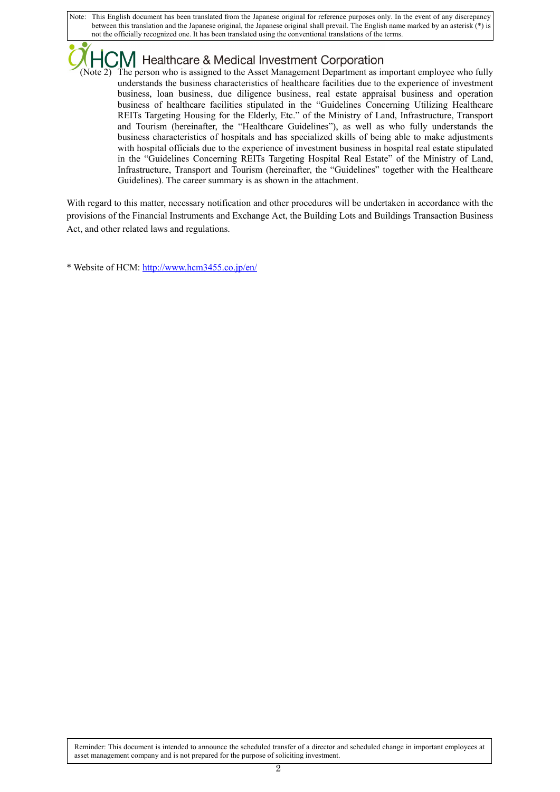Note: This English document has been translated from the Japanese original for reference purposes only. In the event of any discrepancy between this translation and the Japanese original, the Japanese original shall prevail. The English name marked by an asterisk (\*) is not the officially recognized one. It has been translated using the conventional translations of the terms.

## Healthcare & Medical Investment Corporation

The person who is assigned to the Asset Management Department as important employee who fully understands the business characteristics of healthcare facilities due to the experience of investment business, loan business, due diligence business, real estate appraisal business and operation business of healthcare facilities stipulated in the "Guidelines Concerning Utilizing Healthcare REITs Targeting Housing for the Elderly, Etc." of the Ministry of Land, Infrastructure, Transport and Tourism (hereinafter, the "Healthcare Guidelines"), as well as who fully understands the business characteristics of hospitals and has specialized skills of being able to make adjustments with hospital officials due to the experience of investment business in hospital real estate stipulated in the "Guidelines Concerning REITs Targeting Hospital Real Estate" of the Ministry of Land, Infrastructure, Transport and Tourism (hereinafter, the "Guidelines" together with the Healthcare Guidelines). The career summary is as shown in the attachment.

With regard to this matter, necessary notification and other procedures will be undertaken in accordance with the provisions of the Financial Instruments and Exchange Act, the Building Lots and Buildings Transaction Business Act, and other related laws and regulations.

\* Website of HCM: http://www.hcm3455.co.jp/en/

Reminder: This document is intended to announce the scheduled transfer of a director and scheduled change in important employees at asset management company and is not prepared for the purpose of soliciting investment.